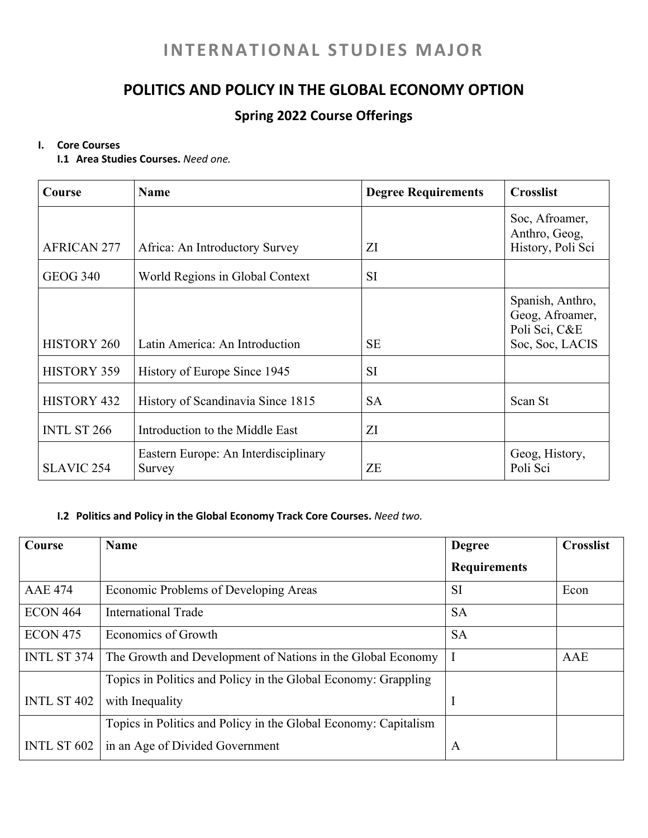# **INTERNATIONAL STUDIES MAJOR**

# **POLITICS AND POLICY IN THE GLOBAL ECONOMY OPTION**

## **Spring 2022 Course Offerings**

#### **I. Core Courses**

**I.1 Area Studies Courses.** *Need one.*

| Course             | <b>Name</b>                                    | <b>Degree Requirements</b> | <b>Crosslist</b>                                                        |
|--------------------|------------------------------------------------|----------------------------|-------------------------------------------------------------------------|
| <b>AFRICAN 277</b> | Africa: An Introductory Survey                 | ZI                         | Soc, Afroamer,<br>Anthro, Geog,<br>History, Poli Sci                    |
| <b>GEOG 340</b>    | World Regions in Global Context                | <b>SI</b>                  |                                                                         |
| <b>HISTORY 260</b> | Latin America: An Introduction                 | <b>SE</b>                  | Spanish, Anthro,<br>Geog, Afroamer,<br>Poli Sci, C&E<br>Soc, Soc, LACIS |
| HISTORY 359        | History of Europe Since 1945                   | <b>SI</b>                  |                                                                         |
| HISTORY 432        | History of Scandinavia Since 1815              | <b>SA</b>                  | Scan St                                                                 |
| <b>INTL ST 266</b> | Introduction to the Middle East                | ZI                         |                                                                         |
| <b>SLAVIC 254</b>  | Eastern Europe: An Interdisciplinary<br>Survey | ZE                         | Geog, History,<br>Poli Sci                                              |

### **I.2 Politics and Policy in the Global Economy Track Core Courses.** *Need two.*

| Course             | <b>Name</b>                                                     | <b>Degree</b>       | <b>Crosslist</b> |
|--------------------|-----------------------------------------------------------------|---------------------|------------------|
|                    |                                                                 | <b>Requirements</b> |                  |
| <b>AAE 474</b>     | Economic Problems of Developing Areas                           | <b>SI</b>           | Econ             |
| <b>ECON 464</b>    | International Trade                                             | <b>SA</b>           |                  |
| <b>ECON 475</b>    | Economics of Growth                                             | <b>SA</b>           |                  |
| <b>INTL ST 374</b> | The Growth and Development of Nations in the Global Economy     |                     | AAE              |
|                    | Topics in Politics and Policy in the Global Economy: Grappling  |                     |                  |
| <b>INTL ST 402</b> | with Inequality                                                 | I                   |                  |
|                    | Topics in Politics and Policy in the Global Economy: Capitalism |                     |                  |
| INTL ST 602        | in an Age of Divided Government                                 | A                   |                  |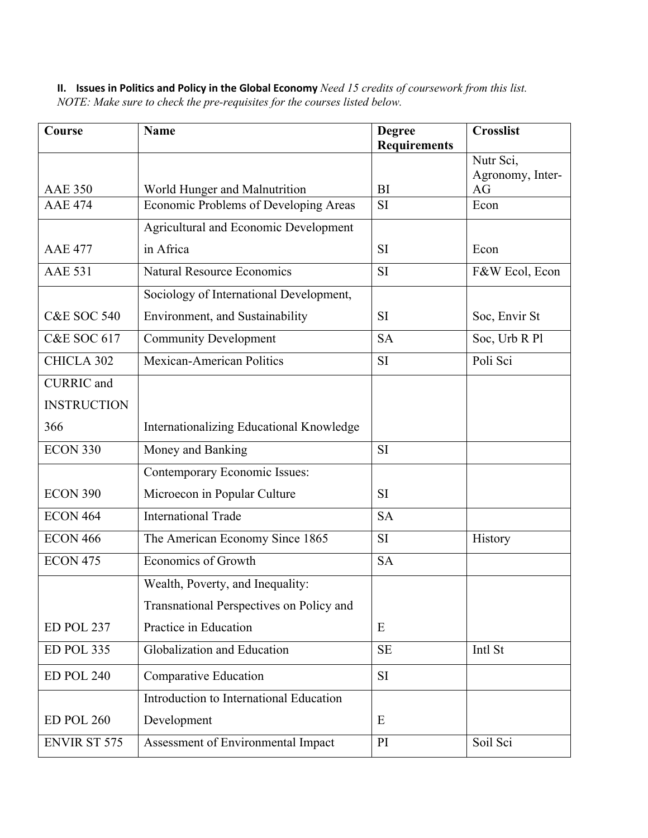**II. Issues in Politics and Policy in the Global Economy** *Need 15 credits of coursework from this list. NOTE: Make sure to check the pre-requisites for the courses listed below.* 

| <b>Course</b>          | <b>Name</b>                                  | <b>Degree</b><br><b>Requirements</b> | <b>Crosslist</b>       |
|------------------------|----------------------------------------------|--------------------------------------|------------------------|
|                        |                                              |                                      | Nutr Sci,              |
| <b>AAE 350</b>         | World Hunger and Malnutrition                | <b>BI</b>                            | Agronomy, Inter-<br>AG |
| <b>AAE 474</b>         | Economic Problems of Developing Areas        | SI                                   | Econ                   |
|                        | <b>Agricultural and Economic Development</b> |                                      |                        |
| <b>AAE 477</b>         | in Africa                                    | <b>SI</b>                            | Econ                   |
| <b>AAE 531</b>         | <b>Natural Resource Economics</b>            | SI                                   | F&W Ecol, Econ         |
|                        | Sociology of International Development,      |                                      |                        |
| <b>C&amp;E SOC 540</b> | Environment, and Sustainability              | <b>SI</b>                            | Soc, Envir St          |
|                        |                                              |                                      |                        |
| <b>C&amp;E SOC 617</b> | <b>Community Development</b>                 | <b>SA</b>                            | Soc, Urb R Pl          |
| CHICLA 302             | Mexican-American Politics                    | SI                                   | Poli Sci               |
| <b>CURRIC</b> and      |                                              |                                      |                        |
| <b>INSTRUCTION</b>     |                                              |                                      |                        |
| 366                    | Internationalizing Educational Knowledge     |                                      |                        |
| <b>ECON 330</b>        | Money and Banking                            | SI                                   |                        |
|                        | Contemporary Economic Issues:                |                                      |                        |
| <b>ECON 390</b>        | Microecon in Popular Culture                 | <b>SI</b>                            |                        |
| <b>ECON 464</b>        | <b>International Trade</b>                   | <b>SA</b>                            |                        |
| <b>ECON 466</b>        | The American Economy Since 1865              | SI                                   | History                |
| <b>ECON 475</b>        | <b>Economics of Growth</b>                   | <b>SA</b>                            |                        |
|                        | Wealth, Poverty, and Inequality:             |                                      |                        |
|                        | Transnational Perspectives on Policy and     |                                      |                        |
| ED POL 237             | Practice in Education                        | E                                    |                        |
| ED POL 335             | Globalization and Education                  | SE                                   | Intl St                |
| ED POL 240             | Comparative Education                        | <b>SI</b>                            |                        |
|                        | Introduction to International Education      |                                      |                        |
| ED POL 260             | Development                                  | E                                    |                        |
| <b>ENVIR ST 575</b>    | Assessment of Environmental Impact           | PI                                   | Soil Sci               |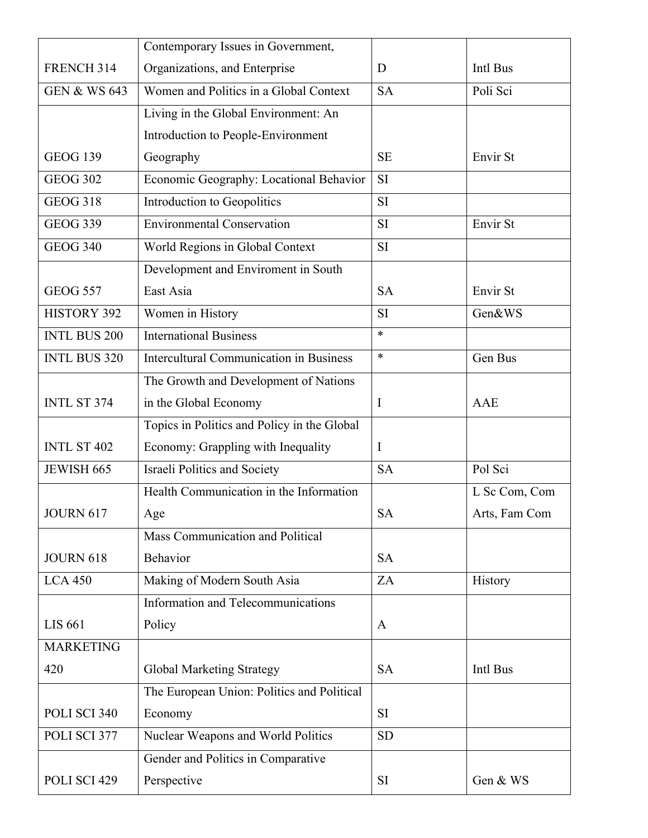|                         | Contemporary Issues in Government,             |              |               |
|-------------------------|------------------------------------------------|--------------|---------------|
| FRENCH 314              | Organizations, and Enterprise                  | D            | Intl Bus      |
| <b>GEN &amp; WS 643</b> | Women and Politics in a Global Context         | <b>SA</b>    | Poli Sci      |
|                         | Living in the Global Environment: An           |              |               |
|                         | Introduction to People-Environment             |              |               |
| <b>GEOG 139</b>         | Geography                                      | <b>SE</b>    | Envir St      |
| <b>GEOG 302</b>         | Economic Geography: Locational Behavior        | SI           |               |
| <b>GEOG 318</b>         | Introduction to Geopolitics                    | SI           |               |
| <b>GEOG 339</b>         | <b>Environmental Conservation</b>              | SI           | Envir St      |
| <b>GEOG 340</b>         | World Regions in Global Context                | SI           |               |
|                         | Development and Enviroment in South            |              |               |
| <b>GEOG 557</b>         | East Asia                                      | <b>SA</b>    | Envir St      |
| <b>HISTORY 392</b>      | Women in History                               | SI           | Gen&WS        |
| <b>INTL BUS 200</b>     | <b>International Business</b>                  | *            |               |
| <b>INTL BUS 320</b>     | <b>Intercultural Communication in Business</b> | *            | Gen Bus       |
|                         | The Growth and Development of Nations          |              |               |
| INTL ST 374             | in the Global Economy                          | $\bf{I}$     | AAE           |
|                         | Topics in Politics and Policy in the Global    |              |               |
| INTL ST 402             | Economy: Grappling with Inequality             | $\mathbf I$  |               |
| JEWISH 665              | Israeli Politics and Society                   | <b>SA</b>    | Pol Sci       |
|                         | Health Communication in the Information        |              | L Sc Com, Com |
| JOURN 617               | Age                                            | <b>SA</b>    | Arts, Fam Com |
|                         | Mass Communication and Political               |              |               |
| <b>JOURN 618</b>        | Behavior                                       | <b>SA</b>    |               |
| <b>LCA 450</b>          | Making of Modern South Asia                    | ZA           | History       |
|                         | Information and Telecommunications             |              |               |
| <b>LIS 661</b>          | Policy                                         | $\mathbf{A}$ |               |
| <b>MARKETING</b>        |                                                |              |               |
| 420                     | <b>Global Marketing Strategy</b>               | <b>SA</b>    | Intl Bus      |
|                         | The European Union: Politics and Political     |              |               |
| POLI SCI 340            | Economy                                        | <b>SI</b>    |               |
| POLI SCI 377            | Nuclear Weapons and World Politics             | <b>SD</b>    |               |
|                         | Gender and Politics in Comparative             |              |               |
| POLI SCI 429            | Perspective                                    | <b>SI</b>    | Gen & WS      |